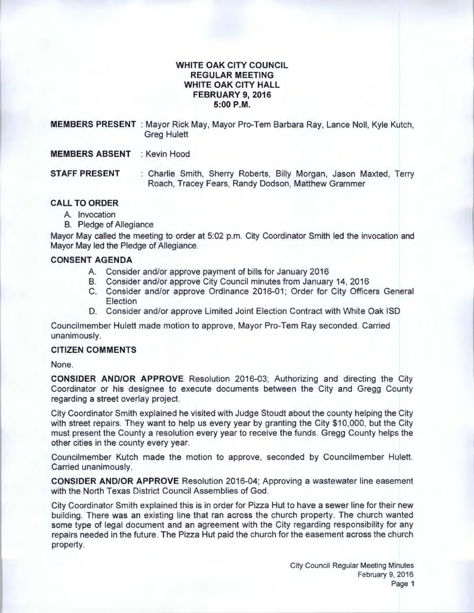# **WHITE OAK CITY COUNCIL REGULAR MEETING WHITE OAK CITY HALL FEBRUARY 9, 2016 5:00P.M.**

**MEMBERS PRESENT** :Mayor Rick May, Mayor Pro-Tem Barbara Ray, Lance Noll, Kyle Kutch, Greg Hulett

**MEMBERS ABSENT** : Kevin Hood

**STAFF PRESENT** : Charlie Smith, Sherry Roberts, Billy Morgan, Jason Maxted, Terry Roach, Tracey Fears, Randy Dodson, Matthew Grammer

#### **CALL TO ORDER**

- A. Invocation
- B. Pledge of Allegiance

Mayor May called the meeting to order at 5:02 p.m. City Coordinator Smith led the invocation and Mayor May led the Pledge of Allegiance.

# **CONSENT AGENDA**

- A. Consider and/or approve payment of bills for January 2016
- B. Consider and/or approve City Council minutes from January 14, 2016
- C. Consider and/or approve Ordinance 2016-01; Order for City Officers General Election
- D. Consider and/or approve Limited Joint Election Contract with White Oak lSD

Councilmember Hulett made motion to approve, Mayor Pro-Tem Ray seconded. Carried unanimously.

# **CITIZEN COMMENTS**

None.

**CONSIDER AND/OR APPROVE** Resolution 2016-03; Authorizing and directing the City Coordinator or his designee to execute documents between the City and Gregg County regarding a street overlay project.

City Coordinator Smith explained he visited with Judge Stoudt about the county helping the City with street repairs. They want to help us every year by granting the City \$10,000, but the City must present the County a resolution every year to receive the funds. Gregg County helps the other cities in the county every year.

Councilmember Kutch made the motion to approve, seconded by Councilmember Hulett. Carried unanimously.

**CONSIDER AND/OR APPROVE** Resolution 2016-04; Approving a wastewater line easement with the North Texas District Council Assemblies of God.

City Coordinator Smith explained this is in order for Pizza Hut to have a sewer line for their new building. There was an existing line that ran across the church property. The church wanted some type of legal document and an agreement with the City regarding responsibility for any repairs needed in the future. The Pizza Hut paid the church for the easement across the church property.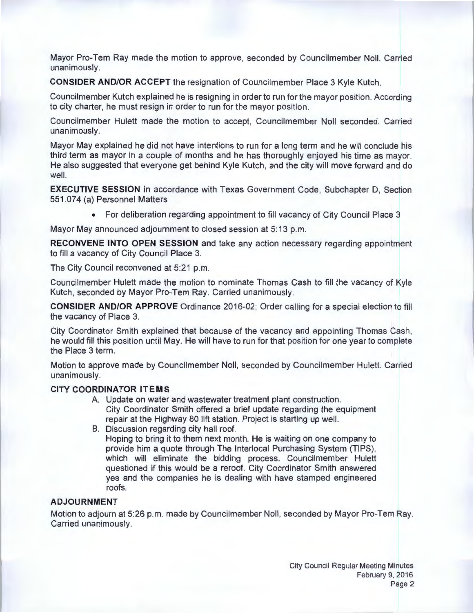Mayor Pro-Tem Ray made the motion to approve, seconded by Councilmember Noll. Carried unanimously.

**CONSIDER AND/OR ACCEPT the resignation of Councilmember Place 3 Kyle Kutch.** 

Council member Kutch explained he is resigning in order to run for the mayor position. According to city charter, he must resign in order to run for the mayor position.

Councilmember Hulett made the motion to accept, Councilmember Noll seconded. Carried unanimously.

Mayor May explained he did not have intentions to run for a long term and he will conclude his third term as mayor in a couple of months and he has thoroughly enjoyed his time as mayor. He also suggested that everyone get behind Kyle Kutch, and the city will move forward and do well.

**EXECUTIVE SESSION** in accordance with Texas Government Code, Subchapter D, Section 551.074 (a) Personnel Matters

• For deliberation regarding appointment to fill vacancy of City Council Place 3

Mayor May announced adjournment to closed session at 5:13 p.m.

**RECONVENE INTO OPEN SESSION** and take any action necessary regarding appointment to fill a vacancy of City Council Place 3.

The City Council reconvened at 5:21 p.m.

Councilmember Hulett made the motion to nominate Thomas Cash to fill the vacancy of Kyle Kutch, seconded by Mayor Pro-Tem Ray. Carried unanimously.

**CONSIDER AND/OR APPROVE** Ordinance 2016-02; Order calling for a special election to fill the vacancy of Place 3.

City Coordinator Smith explained that because of the vacancy and appointing Thomas Cash, he would fill this position until May. He will have to run for that position for one year to complete the Place 3 term.

Motion to approve made by Councilmember Noll, seconded by Councilmember Hulett. Carried unanimously.

# **CITY COORDINATOR ITEMS**

- A. Update on water and wastewater treatment plant construction. City Coordinator Smith offered a brief update regarding the equipment repair at the Highway 80 lift station. Project is starting up well.
- B. Discussion regarding city hall roof. Hoping to bring it to them next month. He is waiting on one company to provide him a quote through The lnterlocal Purchasing System (TIPS), which will eliminate the bidding process. Councilmember Hulett questioned if this would be a reroof. City Coordinator Smith answered yes and the companies he is dealing with have stamped engineered roofs.

# **ADJOURNMENT**

Motion to adjourn at 5:26 p.m. made by Councilmember Noll, seconded by Mayor Pro-Tem Ray. Carried unanimously.